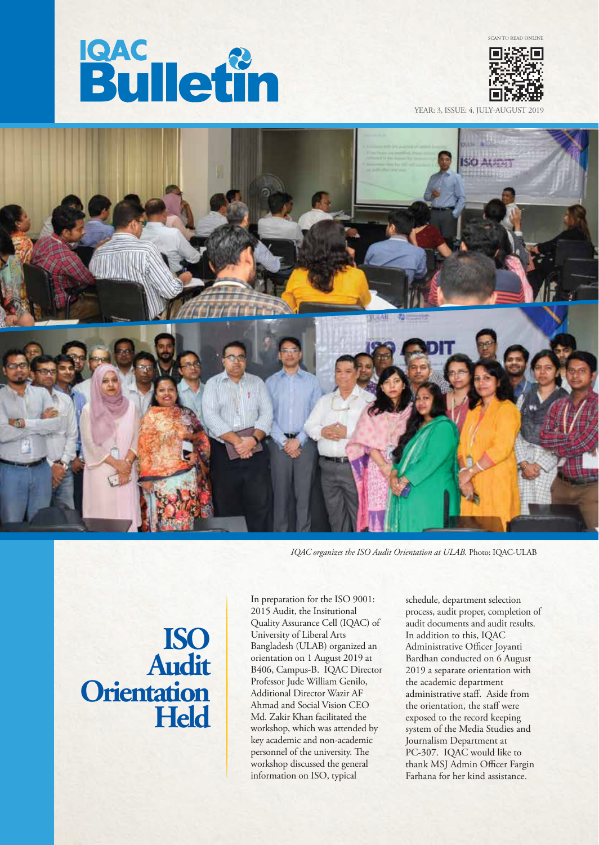



YEAR: 3, ISSUE: 4, JULY



*IQAC organizes the ISO Audit Orientation at ULAB.* Photo: IQAC-ULAB

## **ISO Audit Orientation Held**

In preparation for the ISO 9001: 2015 Audit, the Insitutional Quality Assurance Cell (IQAC) of University of Liberal Arts Bangladesh (ULAB) organized an orientation on 1 August 2019 at B406, Campus-B. IQAC Director Professor Jude William Genilo, Additional Director Wazir AF Ahmad and Social Vision CEO Md. Zakir Khan facilitated the workshop, which was attended by key academic and non-academic personnel of the university. The workshop discussed the general information on ISO, typical

schedule, department selection process, audit proper, completion of audit documents and audit results. In addition to this, IQAC Administrative Officer Joyanti Bardhan conducted on 6 August 2019 a separate orientation with the academic department administrative staff. Aside from the orientation, the staff were exposed to the record keeping system of the Media Studies and Journalism Department at PC-307. IQAC would like to thank MSJ Admin Officer Fargin Farhana for her kind assistance.